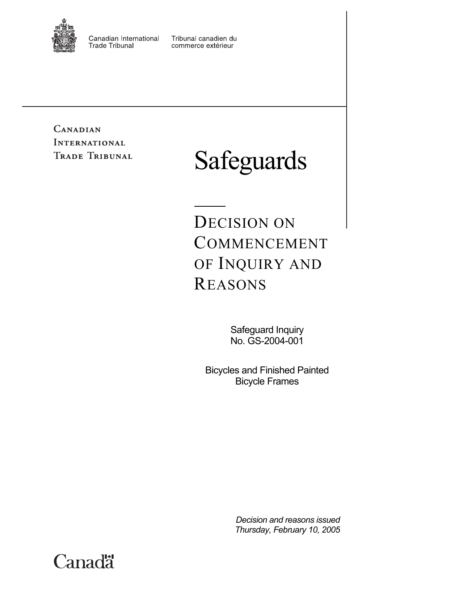

Canadian International **Trade Tribunal** 

Tribunal canadien du commerce extérieur

**CANADIAN INTERNATIONAL** TRADE TRIBUNAL

# Safeguards

DECISION ON COMMENCEMENT OF INQUIRY AND REASONS

> Safeguard Inquiry No. GS-2004-001

Bicycles and Finished Painted Bicycle Frames

> *Decision and reasons issued Thursday, February 10, 2005*

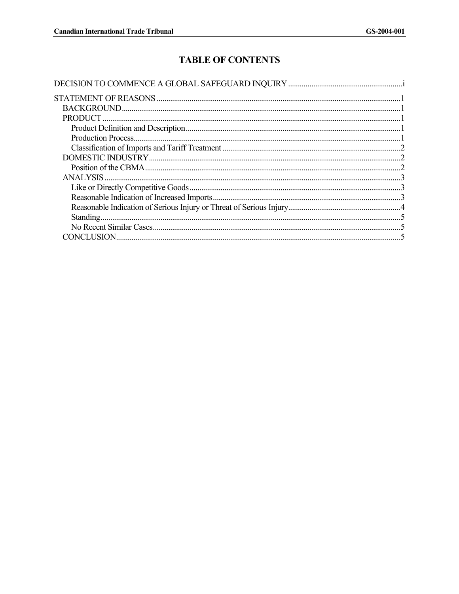# **TABLE OF CONTENTS**

| Standing.          |  |
|--------------------|--|
|                    |  |
| <b>CONCLUSION.</b> |  |
|                    |  |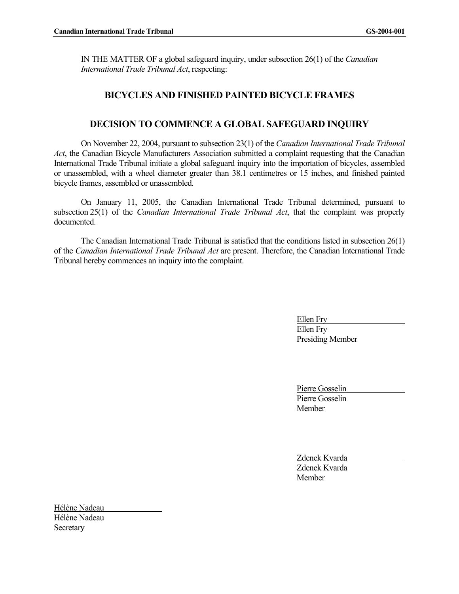IN THE MATTER OF a global safeguard inquiry, under subsection 26(1) of the *Canadian International Trade Tribunal Act*, respecting:

# **BICYCLES AND FINISHED PAINTED BICYCLE FRAMES**

## **DECISION TO COMMENCE A GLOBAL SAFEGUARD INQUIRY**

On November 22, 2004, pursuant to subsection 23(1) of the *Canadian International Trade Tribunal Act*, the Canadian Bicycle Manufacturers Association submitted a complaint requesting that the Canadian International Trade Tribunal initiate a global safeguard inquiry into the importation of bicycles, assembled or unassembled, with a wheel diameter greater than 38.1 centimetres or 15 inches, and finished painted bicycle frames, assembled or unassembled.

On January 11, 2005, the Canadian International Trade Tribunal determined, pursuant to subsection 25(1) of the *Canadian International Trade Tribunal Act*, that the complaint was properly documented.

The Canadian International Trade Tribunal is satisfied that the conditions listed in subsection 26(1) of the *Canadian International Trade Tribunal Act* are present. Therefore, the Canadian International Trade Tribunal hereby commences an inquiry into the complaint.

> Ellen Fry Ellen Fry Presiding Member

Pierre Gosselin Pierre Gosselin **Member** 

Zdenek Kvarda Zdenek Kvarda Member

Hélène Nadeau Hélène Nadeau **Secretary**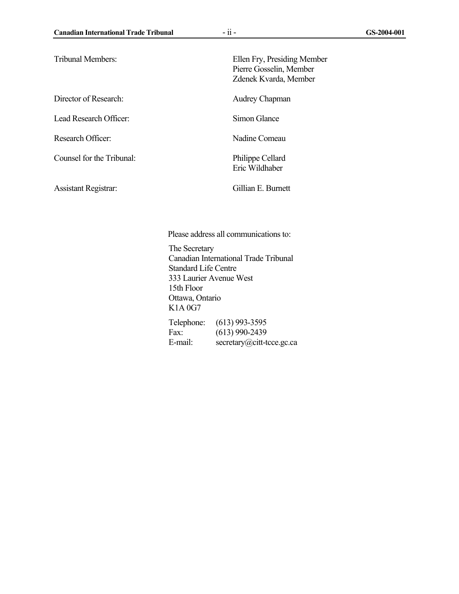| <b>Tribunal Members:</b>    | Ellen Fry, Presiding Member<br>Pierre Gosselin, Member<br>Zdenek Kvarda, Member |
|-----------------------------|---------------------------------------------------------------------------------|
| Director of Research:       | Audrey Chapman                                                                  |
| Lead Research Officer:      | Simon Glance                                                                    |
| Research Officer:           | Nadine Comeau                                                                   |
| Counsel for the Tribunal:   | <b>Philippe Cellard</b><br>Eric Wildhaber                                       |
| <b>Assistant Registrar:</b> | Gillian E. Burnett                                                              |

Please address all communications to:

The Secretary Canadian International Trade Tribunal Standard Life Centre 333 Laurier Avenue West 15th Floor Ottawa, Ontario K1A 0G7 Telephone: (613) 993-3595

Fax: (613) 990-2439 E-mail: secretary@citt-tcce.gc.ca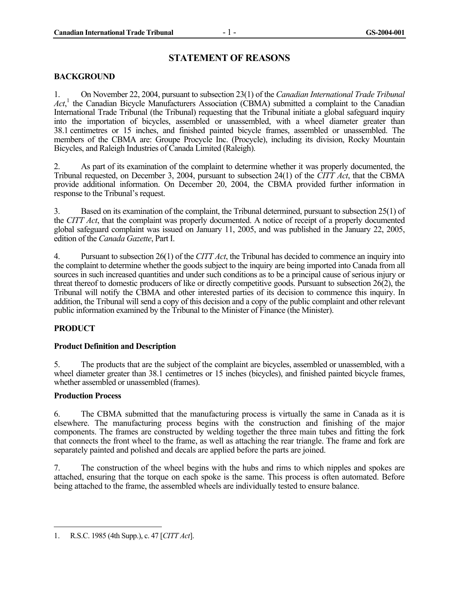### **STATEMENT OF REASONS**

#### **BACKGROUND**

1. On November 22, 2004, pursuant to subsection 23(1) of the *Canadian International Trade Tribunal*  Act<sup>1</sup>, the Canadian Bicycle Manufacturers Association (CBMA) submitted a complaint to the Canadian International Trade Tribunal (the Tribunal) requesting that the Tribunal initiate a global safeguard inquiry into the importation of bicycles, assembled or unassembled, with a wheel diameter greater than 38.1 centimetres or 15 inches, and finished painted bicycle frames, assembled or unassembled. The members of the CBMA are: Groupe Procycle Inc. (Procycle), including its division, Rocky Mountain Bicycles, and Raleigh Industries of Canada Limited (Raleigh).

2. As part of its examination of the complaint to determine whether it was properly documented, the Tribunal requested, on December 3, 2004, pursuant to subsection 24(1) of the *CITT Act*, that the CBMA provide additional information. On December 20, 2004, the CBMA provided further information in response to the Tribunal's request.

3. Based on its examination of the complaint, the Tribunal determined, pursuant to subsection 25(1) of the *CITT Act*, that the complaint was properly documented. A notice of receipt of a properly documented global safeguard complaint was issued on January 11, 2005, and was published in the January 22, 2005, edition of the *Canada Gazette*, Part I.

4. Pursuant to subsection 26(1) of the *CITT Act*, the Tribunal has decided to commence an inquiry into the complaint to determine whether the goods subject to the inquiry are being imported into Canada from all sources in such increased quantities and under such conditions as to be a principal cause of serious injury or threat thereof to domestic producers of like or directly competitive goods. Pursuant to subsection 26(2), the Tribunal will notify the CBMA and other interested parties of its decision to commence this inquiry. In addition, the Tribunal will send a copy of this decision and a copy of the public complaint and other relevant public information examined by the Tribunal to the Minister of Finance (the Minister).

#### **PRODUCT**

#### **Product Definition and Description**

5. The products that are the subject of the complaint are bicycles, assembled or unassembled, with a wheel diameter greater than 38.1 centimetres or 15 inches (bicycles), and finished painted bicycle frames, whether assembled or unassembled (frames).

#### **Production Process**

 $\overline{\phantom{a}}$ 

6. The CBMA submitted that the manufacturing process is virtually the same in Canada as it is elsewhere. The manufacturing process begins with the construction and finishing of the major components. The frames are constructed by welding together the three main tubes and fitting the fork that connects the front wheel to the frame, as well as attaching the rear triangle. The frame and fork are separately painted and polished and decals are applied before the parts are joined.

7. The construction of the wheel begins with the hubs and rims to which nipples and spokes are attached, ensuring that the torque on each spoke is the same. This process is often automated. Before being attached to the frame, the assembled wheels are individually tested to ensure balance.

<sup>1.</sup> R.S.C. 1985 (4th Supp.), c. 47 [*CITT Act*].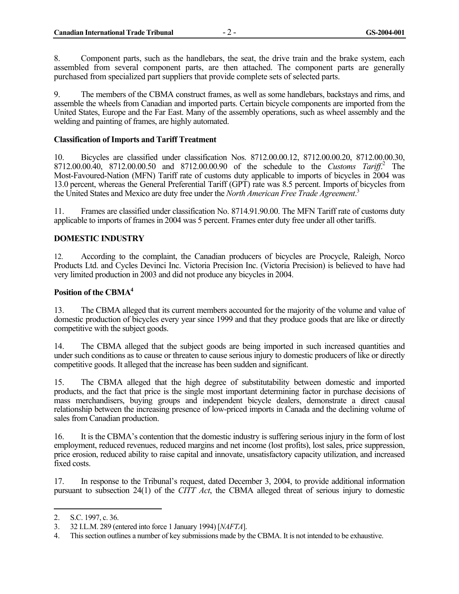8. Component parts, such as the handlebars, the seat, the drive train and the brake system, each assembled from several component parts, are then attached. The component parts are generally purchased from specialized part suppliers that provide complete sets of selected parts.

9. The members of the CBMA construct frames, as well as some handlebars, backstays and rims, and assemble the wheels from Canadian and imported parts. Certain bicycle components are imported from the United States, Europe and the Far East. Many of the assembly operations, such as wheel assembly and the welding and painting of frames, are highly automated.

#### **Classification of Imports and Tariff Treatment**

10. Bicycles are classified under classification Nos. 8712.00.00.12, 8712.00.00.20, 8712.00.00.30, 8712.00.00.40, 8712.00.00.50 and 8712.00.00.90 of the schedule to the *Customs Tariff*.<sup>2</sup> The Most-Favoured-Nation (MFN) Tariff rate of customs duty applicable to imports of bicycles in 2004 was 13.0 percent, whereas the General Preferential Tariff (GPT) rate was 8.5 percent. Imports of bicycles from the United States and Mexico are duty free under the *North American Free Trade Agreement*. 3

11. Frames are classified under classification No. 8714.91.90.00. The MFN Tariff rate of customs duty applicable to imports of frames in 2004 was 5 percent. Frames enter duty free under all other tariffs.

#### **DOMESTIC INDUSTRY**

12. According to the complaint, the Canadian producers of bicycles are Procycle, Raleigh, Norco Products Ltd. and Cycles Devinci Inc. Victoria Precision Inc. (Victoria Precision) is believed to have had very limited production in 2003 and did not produce any bicycles in 2004.

#### **Position of the CBMA4**

13. The CBMA alleged that its current members accounted for the majority of the volume and value of domestic production of bicycles every year since 1999 and that they produce goods that are like or directly competitive with the subject goods.

14. The CBMA alleged that the subject goods are being imported in such increased quantities and under such conditions as to cause or threaten to cause serious injury to domestic producers of like or directly competitive goods. It alleged that the increase has been sudden and significant.

15. The CBMA alleged that the high degree of substitutability between domestic and imported products, and the fact that price is the single most important determining factor in purchase decisions of mass merchandisers, buying groups and independent bicycle dealers, demonstrate a direct causal relationship between the increasing presence of low-priced imports in Canada and the declining volume of sales from Canadian production.

16. It is the CBMA's contention that the domestic industry is suffering serious injury in the form of lost employment, reduced revenues, reduced margins and net income (lost profits), lost sales, price suppression, price erosion, reduced ability to raise capital and innovate, unsatisfactory capacity utilization, and increased fixed costs.

17. In response to the Tribunal's request, dated December 3, 2004, to provide additional information pursuant to subsection 24(1) of the *CITT Act*, the CBMA alleged threat of serious injury to domestic

<sup>2.</sup> S.C. 1997, c. 36.

<sup>3. 32</sup> I.L.M. 289 (entered into force 1 January 1994) [*NAFTA*].

<sup>4.</sup> This section outlines a number of key submissions made by the CBMA. It is not intended to be exhaustive.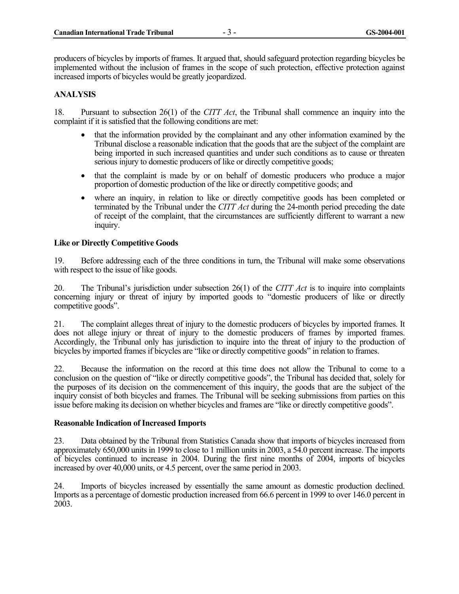producers of bicycles by imports of frames. It argued that, should safeguard protection regarding bicycles be implemented without the inclusion of frames in the scope of such protection, effective protection against increased imports of bicycles would be greatly jeopardized.

#### **ANALYSIS**

18. Pursuant to subsection 26(1) of the *CITT Act*, the Tribunal shall commence an inquiry into the complaint if it is satisfied that the following conditions are met:

- that the information provided by the complainant and any other information examined by the Tribunal disclose a reasonable indication that the goods that are the subject of the complaint are being imported in such increased quantities and under such conditions as to cause or threaten serious injury to domestic producers of like or directly competitive goods;
- that the complaint is made by or on behalf of domestic producers who produce a major proportion of domestic production of the like or directly competitive goods; and
- where an inquiry, in relation to like or directly competitive goods has been completed or terminated by the Tribunal under the *CITT Act* during the 24-month period preceding the date of receipt of the complaint, that the circumstances are sufficiently different to warrant a new inquiry.

#### **Like or Directly Competitive Goods**

19. Before addressing each of the three conditions in turn, the Tribunal will make some observations with respect to the issue of like goods.

20. The Tribunal's jurisdiction under subsection 26(1) of the *CITT Act* is to inquire into complaints concerning injury or threat of injury by imported goods to "domestic producers of like or directly competitive goods".

21. The complaint alleges threat of injury to the domestic producers of bicycles by imported frames. It does not allege injury or threat of injury to the domestic producers of frames by imported frames. Accordingly, the Tribunal only has jurisdiction to inquire into the threat of injury to the production of bicycles by imported frames if bicycles are "like or directly competitive goods" in relation to frames.

22. Because the information on the record at this time does not allow the Tribunal to come to a conclusion on the question of "like or directly competitive goods", the Tribunal has decided that, solely for the purposes of its decision on the commencement of this inquiry, the goods that are the subject of the inquiry consist of both bicycles and frames. The Tribunal will be seeking submissions from parties on this issue before making its decision on whether bicycles and frames are "like or directly competitive goods".

#### **Reasonable Indication of Increased Imports**

23. Data obtained by the Tribunal from Statistics Canada show that imports of bicycles increased from approximately 650,000 units in 1999 to close to 1 million units in 2003, a 54.0 percent increase. The imports of bicycles continued to increase in 2004. During the first nine months of 2004, imports of bicycles increased by over 40,000 units, or 4.5 percent, over the same period in 2003.

24. Imports of bicycles increased by essentially the same amount as domestic production declined. Imports as a percentage of domestic production increased from 66.6 percent in 1999 to over 146.0 percent in 2003.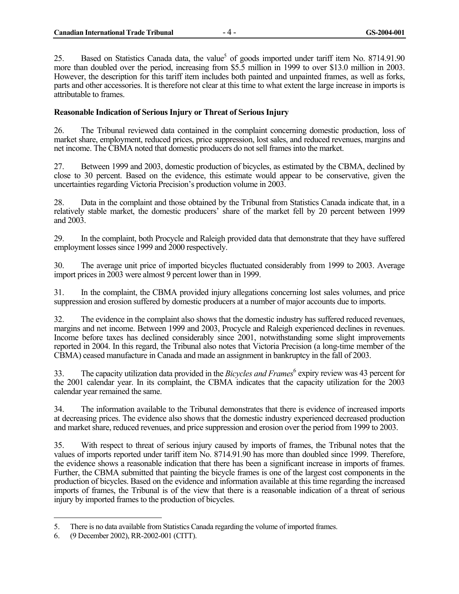25. Based on Statistics Canada data, the value<sup>5</sup> of goods imported under tariff item No. 8714.91.90 more than doubled over the period, increasing from \$5.5 million in 1999 to over \$13.0 million in 2003. However, the description for this tariff item includes both painted and unpainted frames, as well as forks, parts and other accessories. It is therefore not clear at this time to what extent the large increase in imports is attributable to frames.

#### **Reasonable Indication of Serious Injury or Threat of Serious Injury**

26. The Tribunal reviewed data contained in the complaint concerning domestic production, loss of market share, employment, reduced prices, price suppression, lost sales, and reduced revenues, margins and net income. The CBMA noted that domestic producers do not sell frames into the market.

27. Between 1999 and 2003, domestic production of bicycles, as estimated by the CBMA, declined by close to 30 percent. Based on the evidence, this estimate would appear to be conservative, given the uncertainties regarding Victoria Precision's production volume in 2003.

28. Data in the complaint and those obtained by the Tribunal from Statistics Canada indicate that, in a relatively stable market, the domestic producers' share of the market fell by 20 percent between 1999 and 2003.

29. In the complaint, both Procycle and Raleigh provided data that demonstrate that they have suffered employment losses since 1999 and 2000 respectively.

30. The average unit price of imported bicycles fluctuated considerably from 1999 to 2003. Average import prices in 2003 were almost 9 percent lower than in 1999.

31. In the complaint, the CBMA provided injury allegations concerning lost sales volumes, and price suppression and erosion suffered by domestic producers at a number of major accounts due to imports.

32. The evidence in the complaint also shows that the domestic industry has suffered reduced revenues, margins and net income. Between 1999 and 2003, Procycle and Raleigh experienced declines in revenues. Income before taxes has declined considerably since 2001, notwithstanding some slight improvements reported in 2004. In this regard, the Tribunal also notes that Victoria Precision (a long-time member of the CBMA) ceased manufacture in Canada and made an assignment in bankruptcy in the fall of 2003.

33. The capacity utilization data provided in the *Bicycles and Frames*<sup>6</sup> expiry review was 43 percent for the 2001 calendar year. In its complaint, the CBMA indicates that the capacity utilization for the 2003 calendar year remained the same.

34. The information available to the Tribunal demonstrates that there is evidence of increased imports at decreasing prices. The evidence also shows that the domestic industry experienced decreased production and market share, reduced revenues, and price suppression and erosion over the period from 1999 to 2003.

35. With respect to threat of serious injury caused by imports of frames, the Tribunal notes that the values of imports reported under tariff item No. 8714.91.90 has more than doubled since 1999. Therefore, the evidence shows a reasonable indication that there has been a significant increase in imports of frames. Further, the CBMA submitted that painting the bicycle frames is one of the largest cost components in the production of bicycles. Based on the evidence and information available at this time regarding the increased imports of frames, the Tribunal is of the view that there is a reasonable indication of a threat of serious injury by imported frames to the production of bicycles.

-

<sup>5.</sup> There is no data available from Statistics Canada regarding the volume of imported frames.

<sup>6. (9</sup> December 2002), RR-2002-001 (CITT).